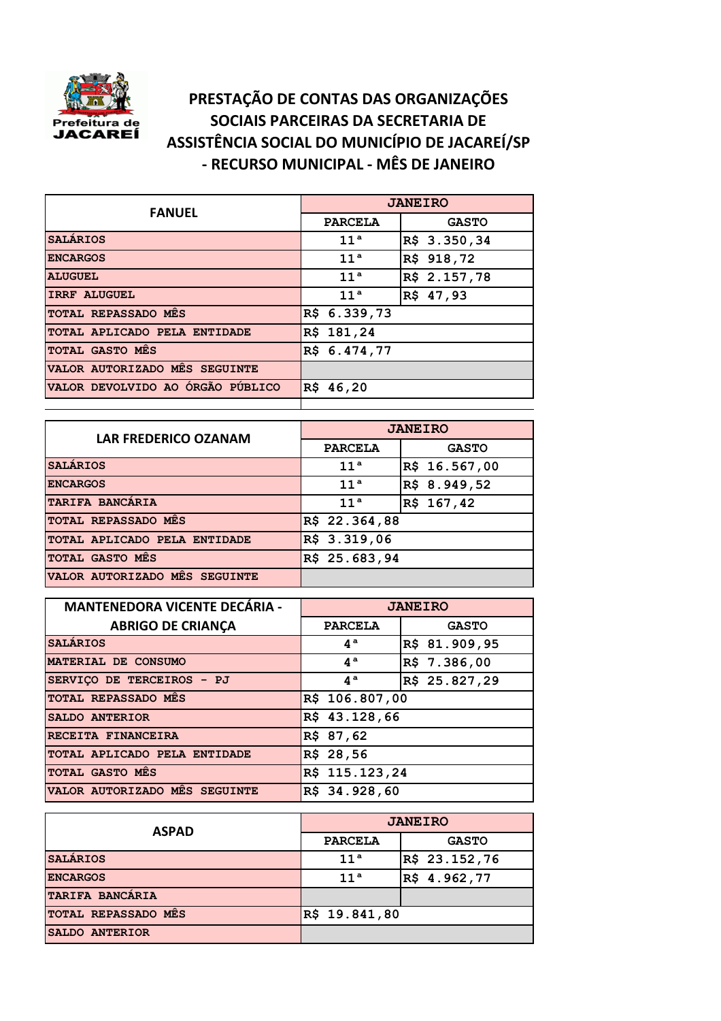

## **PRESTAÇÃO DE CONTAS DAS ORGANIZAÇÕES SOCIAIS PARCEIRAS DA SECRETARIA DE ASSISTÊNCIA SOCIAL DO MUNICÍPIO DE JACAREÍ/SP - RECURSO MUNICIPAL - MÊS DE JANEIRO**

| <b>FANUEL</b>                    | <b>JANEIRO</b>  |              |
|----------------------------------|-----------------|--------------|
|                                  | <b>PARCELA</b>  | <b>GASTO</b> |
| <b>SALÁRIOS</b>                  | 11 <sup>a</sup> | R\$ 3.350,34 |
| <b>ENCARGOS</b>                  | 11 <sup>a</sup> | R\$ 918,72   |
| <b>ALUGUEL</b>                   | 11 <sup>a</sup> | R\$ 2.157,78 |
| <b>IRRF ALUGUEL</b>              | 11 <sup>a</sup> | R\$ 47,93    |
| TOTAL REPASSADO MES              | R\$ 6.339,73    |              |
| TOTAL APLICADO PELA ENTIDADE     | R\$ 181,24      |              |
| TOTAL GASTO MES                  | R\$ 6.474,77    |              |
| VALOR AUTORIZADO MÊS SEGUINTE    |                 |              |
| VALOR DEVOLVIDO AO ÓRGÃO PÚBLICO | R\$ 46,20       |              |
|                                  |                 |              |

| <b>LAR FREDERICO OZANAM</b>   | <b>JANEIRO</b>  |               |
|-------------------------------|-----------------|---------------|
|                               | <b>PARCELA</b>  | <b>GASTO</b>  |
| <b>SALARIOS</b>               | 11 <sup>a</sup> | R\$ 16.567,00 |
| <b>ENCARGOS</b>               | 11 <sup>a</sup> | R\$ 8.949,52  |
| TARIFA BANCARIA               | 11 <sup>a</sup> | R\$ 167,42    |
| <b>TOTAL REPASSADO MES</b>    | R\$ 22.364,88   |               |
| TOTAL APLICADO PELA ENTIDADE  | R\$ 3.319,06    |               |
| TOTAL GASTO MES               | R\$ 25.683,94   |               |
| VALOR AUTORIZADO MÉS SEGUINTE |                 |               |

| <b>MANTENEDORA VICENTE DECÁRIA -</b> | <b>JANEIRO</b>   |               |
|--------------------------------------|------------------|---------------|
| <b>ABRIGO DE CRIANÇA</b>             | <b>PARCELA</b>   | <b>GASTO</b>  |
| <b>SALÁRIOS</b>                      | $4^a$            | R\$ 81.909,95 |
| MATERIAL DE CONSUMO                  | $4^a$            | R\$ 7.386,00  |
| SERVICO DE TERCEIROS - PJ            | $4^{\mathrm{a}}$ | R\$ 25.827,29 |
| TOTAL REPASSADO MES                  | R\$ 106.807,00   |               |
| <b>SALDO ANTERIOR</b>                | R\$ 43.128,66    |               |
| RECEITA FINANCEIRA                   | R\$ 87,62        |               |
| TOTAL APLICADO PELA ENTIDADE         | R\$ 28,56        |               |
| TOTAL GASTO MES                      | R\$ 115.123,24   |               |
| VALOR AUTORIZADO MES SEGUINTE        | R\$ 34.928,60    |               |

| <b>ASPAD</b>           | <b>JANEIRO</b>  |               |
|------------------------|-----------------|---------------|
|                        | <b>PARCELA</b>  | <b>GASTO</b>  |
| <b>SALARIOS</b>        | 11 <sup>a</sup> | R\$ 23.152,76 |
| <b>ENCARGOS</b>        | 11 <sup>a</sup> | R\$ 4.962,77  |
| <b>TARIFA BANCARIA</b> |                 |               |
| TOTAL REPASSADO MES    | R\$ 19.841,80   |               |
| SALDO ANTERIOR         |                 |               |